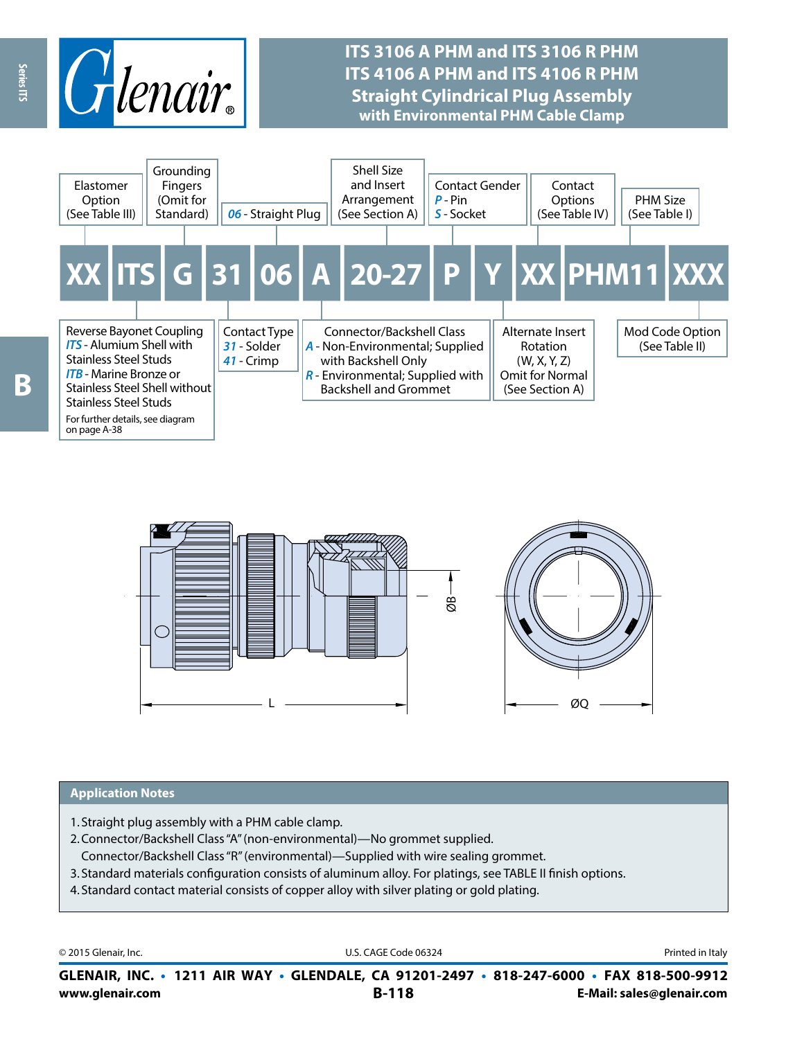

# **ITS 3106 A PHM and ITS 3106 R PHM ITS 4106 A PHM and ITS 4106 R PHM Straight Cylindrical Plug Assembly with Environmental PHM Cable Clamp**





#### **Application Notes**

- 1. Straight plug assembly with a PHM cable clamp.
- 2.Connector/Backshell Class "A" (non-environmental)—No grommet supplied.
- Connector/Backshell Class "R" (environmental)—Supplied with wire sealing grommet.
- 3. Standard materials configuration consists of aluminum alloy. For platings, see TABLE II finish options.
- 4. Standard contact material consists of copper alloy with silver plating or gold plating.

© 2015 Glenair, Inc. **Discription Construction Construction Construction Construction Construction Construction Construction Construction Construction Construction Construction Construction Construction Construction Constr** 

**www.glenair.com B-118 E-Mail: sales@glenair.com GLENAIR, INC. • 1211 AIR WAY • GLENDALE, CA 91201-2497 • 818-247-6000 • FAX 818-500-9912**